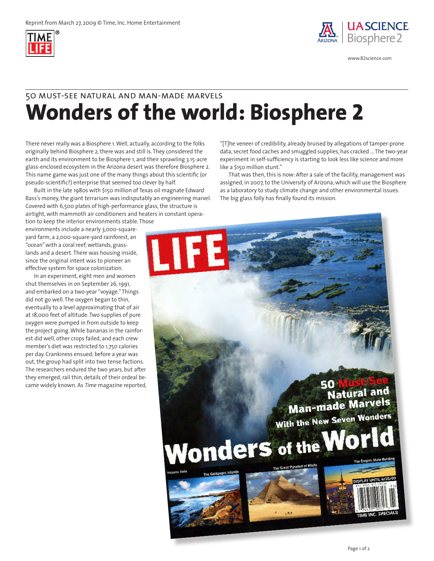



www.B2science.com

## **Wonders of the world: Biosphere 2** 50 must-see natural and man-made marvels

There never really was a Biosphere 1. Well, actually, according to the folks originally behind Biosphere 2, there was and still is. They considered the earth and its environment to be Biosphere 1, and their sprawling 3.15-acre glass-enclosed ecosystem in the Arizona desert was therefore Biosphere 2. This name game was just one of the many things about this scientific (or pseudo-scientific?) enterprise that seemed too clever by half.

Built in the late 1980s with \$150 million of Texas oil magnate Edward Bass's money, the giant terrarium was indisputably an engineering marvel. Covered with 6,500 plates of high-performance glass, the structure is airtight, with mammoth air conditioners and heaters in constant opera-

tion to keep the interior environments stable. Those environments include a nearly 3,000-squareyard farm, a 2,000-square-yard rainforest, an "ocean" with a coral reef, wetlands, grasslands and a desert. There was housing inside, since the original intent was to pioneer an effective system for space colonization.

In an experiment, eight men and women shut themselves in on September 26, 1991, and embarked on a two-year "voyage." Things did not go well. The oxygen began to thin, eventually to a level approximating that of air at 18,000 feet of altitude. Two supplies of pure oxygen were pumped in from outside to keep the project going. While bananas in the rainforest did well, other crops failed, and each crew member's diet was restricted to 1,750 calories per day. Crankiness ensued; before a year was out, the group had split into two tense factions. The researchers endured the two years, but after they emerged, rail thin, details of their ordeal became widely known. As *Time* magazine reported,

"[T]he veneer of credibility, already bruised by allegations of tamper-prone data, secret food caches and smuggled supplies, has cracked ... The two-year experiment in self-sufficiency is starting to look less like science and more like a \$150 million stunt."

That was then, this is now: After a sale of the facility, management was assigned, in 2007, to the University of Arizona, which will use the Biosphere as a laboratory to study climate change and other environmental issues. The big glass folly has finally found its mission.